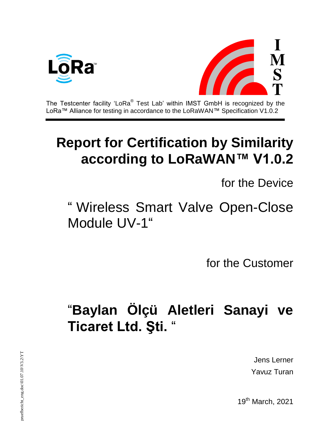



The Testcenter facility 'LoRa $^{\circledast}$  Test Lab' within IMST GmbH is recognized by the LoRa™ Alliance for testing in accordance to the LoRaWAN™ Specification V1.0.2

## **Report for Certification by Similarity according to LoRaWAN™ V1.0.2**

for the Device

## " Wireless Smart Valve Open-Close Module UV-1"

for the Customer

## "**Baylan Ölçü Aletleri Sanayi ve Ticaret Ltd. Şti.** "

Jens Lerner Yavuz Turan

19<sup>th</sup> March, 2021